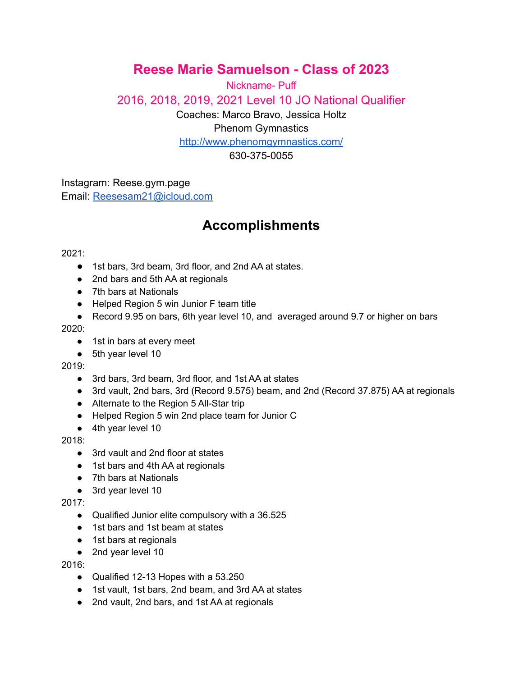## **Reese Marie Samuelson - Class of 2023**

Nickname- Puff 2016, 2018, 2019, 2021 Level 10 JO National Qualifier Coaches: Marco Bravo, Jessica Holtz Phenom Gymnastics <http://www.phenomgymnastics.com/> 630-375-0055

Instagram: Reese.gym.page Email: [Reesesam21@icloud.com](mailto:Reesesam21@icloud.com)

# **Accomplishments**

#### 2021:

- 1st bars, 3rd beam, 3rd floor, and 2nd AA at states.
- 2nd bars and 5th AA at regionals
- 7th bars at Nationals
- Helped Region 5 win Junior F team title
- Record 9.95 on bars, 6th year level 10, and averaged around 9.7 or higher on bars

2020:

- 1st in bars at every meet
- 5th year level 10

#### 2019:

- 3rd bars, 3rd beam, 3rd floor, and 1st AA at states
- 3rd vault, 2nd bars, 3rd (Record 9.575) beam, and 2nd (Record 37.875) AA at regionals
- Alternate to the Region 5 All-Star trip
- Helped Region 5 win 2nd place team for Junior C
- 4th year level 10

#### 2018:

- 3rd vault and 2nd floor at states
- 1st bars and 4th AA at regionals
- 7th bars at Nationals
- 3rd year level 10

#### 2017:

- Qualified Junior elite compulsory with a 36.525
- 1st bars and 1st beam at states
- 1st bars at regionals
- 2nd year level 10

#### 2016:

- Qualified 12-13 Hopes with a 53.250
- 1st vault, 1st bars, 2nd beam, and 3rd AA at states
- 2nd vault, 2nd bars, and 1st AA at regionals